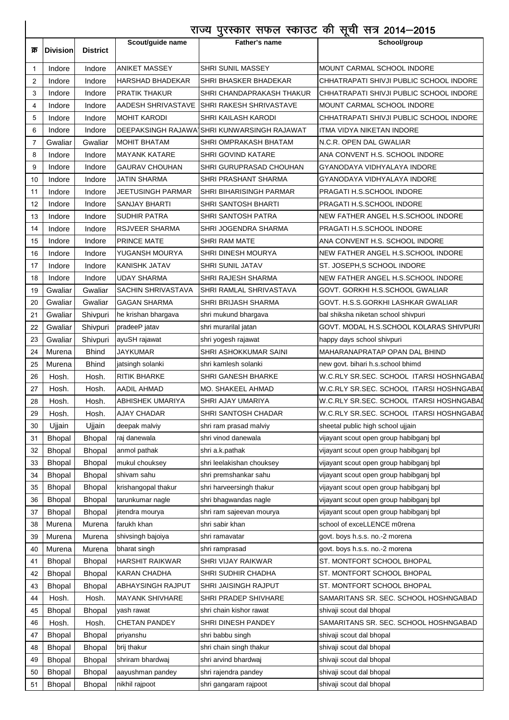|     | राज्य पुरस्कार सफल स्काउट की सूची सत्र 2014–2015 |                 |                          |                                             |                                           |
|-----|--------------------------------------------------|-----------------|--------------------------|---------------------------------------------|-------------------------------------------|
|     |                                                  |                 | Scout/guide name         | Father's name                               | School/group                              |
| क्र | <b>Division</b>                                  | <b>District</b> |                          |                                             |                                           |
| 1   | Indore                                           | Indore          | <b>ANIKET MASSEY</b>     | SHRI SUNIL MASSEY                           | MOUNT CARMAL SCHOOL INDORE                |
| 2   | Indore                                           | Indore          | <b>HARSHAD BHADEKAR</b>  | <b>SHRI BHASKER BHADEKAR</b>                | CHHATRAPATI SHIVJI PUBLIC SCHOOL INDORE   |
| 3   | Indore                                           | Indore          | <b>PRATIK THAKUR</b>     | <b>SHRI CHANDAPRAKASH THAKUR</b>            | CHHATRAPATI SHIVJI PUBLIC SCHOOL INDORE   |
| 4   | Indore                                           | Indore          |                          | AADESH SHRIVASTAVE SHHRI RAKESH SHRIVASTAVE | MOUNT CARMAL SCHOOL INDORE                |
| 5   | Indore                                           | Indore          | <b>MOHIT KARODI</b>      | SHRI KAILASH KARODI                         | CHHATRAPATI SHIVJI PUBLIC SCHOOL INDORE   |
| 6   | Indore                                           | Indore          |                          | DEEPAKSINGH RAJAWA SHRI KUNWARSINGH RAJAWAT | ITMA VIDYA NIKETAN INDORE                 |
| 7   | Gwaliar                                          | Gwaliar         | <b>MOHIT BHATAM</b>      | SHRI OMPRAKASH BHATAM                       | N.C.R. OPEN DAL GWALIAR                   |
| 8   | Indore                                           | Indore          | <b>MAYANK KATARE</b>     | <b>SHRI GOVIND KATARE</b>                   | ANA CONVENT H.S. SCHOOL INDORE            |
| 9   | Indore                                           | Indore          | <b>GAURAV CHOUHAN</b>    | SHRI GURUPRASAD CHOUHAN                     | GYANODAYA VIDHYALAYA INDORE               |
| 10  | Indore                                           | Indore          | JATIN SHARMA             | SHRI PRASHANT SHARMA                        | GYANODAYA VIDHYALAYA INDORE               |
| 11  | Indore                                           | Indore          | JEETUSINGH PARMAR        | <b>SHRI BIHARISINGH PARMAR</b>              | PRAGATI H.S.SCHOOL INDORE                 |
| 12  | Indore                                           | Indore          | <b>SANJAY BHARTI</b>     | SHRI SANTOSH BHARTI                         | PRAGATI H.S.SCHOOL INDORE                 |
| 13  | Indore                                           | Indore          | <b>SUDHIR PATRA</b>      | <b>SHRI SANTOSH PATRA</b>                   | NEW FATHER ANGEL H.S.SCHOOL INDORE        |
| 14  | Indore                                           | Indore          | RSJVEER SHARMA           | SHRI JOGENDRA SHARMA                        | PRAGATI H.S.SCHOOL INDORE                 |
| 15  | Indore                                           | Indore          | <b>PRINCE MATE</b>       | SHRI RAM MATE                               | ANA CONVENT H.S. SCHOOL INDORE            |
| 16  | Indore                                           | Indore          | YUGANSH MOURYA           | <b>SHRI DINESH MOURYA</b>                   | NEW FATHER ANGEL H.S.SCHOOL INDORE        |
| 17  | Indore                                           | Indore          | KANISHK JATAV            | <b>SHRI SUNIL JATAV</b>                     | ST. JOSEPH,S SCHOOL INDORE                |
| 18  | Indore                                           | Indore          | <b>UDAY SHARMA</b>       | <b>SHRI RAJESH SHARMA</b>                   | NEW FATHER ANGEL H.S.SCHOOL INDORE        |
| 19  | Gwaliar                                          | Gwaliar         | SACHIN SHRIVASTAVA       | SHRI RAMLAL SHRIVASTAVA                     | GOVT. GORKHI H.S.SCHOOL GWALIAR           |
| 20  | Gwaliar                                          | Gwaliar         | <b>GAGAN SHARMA</b>      | SHRI BRIJASH SHARMA                         | GOVT. H.S.S.GORKHI LASHKAR GWALIAR        |
| 21  | Gwaliar                                          | Shivpuri        | he krishan bhargava      | shri mukund bhargava                        | bal shiksha niketan school shivpuri       |
| 22  | Gwaliar                                          | Shivpuri        | pradeeP jatav            | shri murarilal jatan                        | GOVT. MODAL H.S.SCHOOL KOLARAS SHIVPURI   |
| 23  | Gwaliar                                          | Shivpuri        | ayuSH rajawat            | shri yogesh rajawat                         | happy days school shivpuri                |
| 24  | Murena                                           | <b>Bhind</b>    | JAYKUMAR                 | SHRI ASHOKKUMAR SAINI                       | MAHARANAPRATAP OPAN DAL BHIND             |
| 25  | Murena                                           | <b>Bhind</b>    | jatsingh solanki         | shri kamlesh solanki                        | new govt. bihari h.s.school bhimd         |
| 26  | Hosh.                                            | Hosh.           | RITIK BHARKE             | <b>SHRI GANESH BHARKE</b>                   | W.C.RLY SR.SEC. SCHOOL ITARSI HOSHNGABAI  |
| 27  | Hosh.                                            | Hosh.           | AADIL AHMAD              | MO. SHAKEEL AHMAD                           | W.C.RLY SR.SEC. SCHOOL  ITARSI HOSHNGABAI |
| 28  | Hosh.                                            | Hosh.           | ABHISHEK UMARIYA         | SHRI AJAY UMARIYA                           | W.C.RLY SR.SEC. SCHOOL ITARSI HOSHNGABAI  |
| 29  | Hosh.                                            | Hosh.           | <b>AJAY CHADAR</b>       | <b>SHRI SANTOSH CHADAR</b>                  | W.C.RLY SR.SEC. SCHOOL ITARSI HOSHNGABAI  |
| 30  | Ujjain                                           | Ujjain          | deepak malviy            | shri ram prasad malviy                      | sheetal public high school ujjain         |
| 31  | <b>Bhopal</b>                                    | <b>Bhopal</b>   | raj danewala             | shri vinod danewala                         | vijayant scout open group habibganj bpl   |
| 32  | <b>Bhopal</b>                                    | <b>Bhopal</b>   | anmol pathak             | shri a.k.pathak                             | vijayant scout open group habibganj bpl   |
| 33  | <b>Bhopal</b>                                    | <b>Bhopal</b>   | mukul chouksey           | shri leelakishan chouksey                   | vijayant scout open group habibganj bpl   |
| 34  | <b>Bhopal</b>                                    | <b>Bhopal</b>   | shivam sahu              | shri premshankar sahu                       | vijayant scout open group habibganj bpl   |
| 35  | <b>Bhopal</b>                                    | <b>Bhopal</b>   | krishangopal thakur      | shri harveersingh thakur                    | vijayant scout open group habibganj bpl   |
| 36  | <b>Bhopal</b>                                    | <b>Bhopal</b>   | tarunkumar nagle         | shri bhagwandas nagle                       | vijayant scout open group habibganj bpl   |
| 37  | Bhopal                                           | <b>Bhopal</b>   | jitendra mourya          | shri ram sajeevan mourya                    | vijayant scout open group habibganj bpl   |
| 38  | Murena                                           | Murena          | farukh khan              | shri sabir khan                             | school of exceLLENCE m0rena               |
| 39  | Murena                                           | Murena          | shivsingh bajoiya        | shri ramavatar                              | govt. boys h.s.s. no.-2 morena            |
| 40  | Murena                                           | Murena          | bharat singh             | shri ramprasad                              | govt. boys h.s.s. no.-2 morena            |
| 41  | <b>Bhopal</b>                                    | <b>Bhopal</b>   | <b>HARSHIT RAIKWAR</b>   | SHRI VIJAY RAIKWAR                          | ST. MONTFORT SCHOOL BHOPAL                |
| 42  | Bhopal                                           | <b>Bhopal</b>   | <b>KARAN CHADHA</b>      | SHRI SUDHIR CHADHA                          | ST. MONTFORT SCHOOL BHOPAL                |
| 43  | <b>Bhopal</b>                                    | <b>Bhopal</b>   | <b>ABHAYSINGH RAJPUT</b> | SHRI JAISINGH RAJPUT                        | ST. MONTFORT SCHOOL BHOPAL                |
| 44  | Hosh.                                            | Hosh.           | <b>MAYANK SHIVHARE</b>   | <b>SHRI PRADEP SHIVHARE</b>                 | SAMARITANS SR. SEC. SCHOOL HOSHNGABAD     |
| 45  | <b>Bhopal</b>                                    | <b>Bhopal</b>   | yash rawat               | shri chain kishor rawat                     | shivaji scout dal bhopal                  |
| 46  | Hosh.                                            | Hosh.           | <b>CHETAN PANDEY</b>     | SHRI DINESH PANDEY                          | SAMARITANS SR. SEC. SCHOOL HOSHNGABAD     |
| 47  | Bhopal                                           | <b>Bhopal</b>   | priyanshu                | shri babbu singh                            | shivaji scout dal bhopal                  |
| 48  | <b>Bhopal</b>                                    | <b>Bhopal</b>   | brij thakur              | shri chain singh thakur                     | shivaji scout dal bhopal                  |
| 49  | <b>Bhopal</b>                                    | <b>Bhopal</b>   | shriram bhardwaj         | shri arvind bhardwaj                        | shivaji scout dal bhopal                  |
| 50  | <b>Bhopal</b>                                    | <b>Bhopal</b>   | aayushman pandey         | shri rajendra pandey                        | shivaji scout dal bhopal                  |
| 51  | <b>Bhopal</b>                                    | <b>Bhopal</b>   | nikhil rajpoot           | shri gangaram rajpoot                       | shivaji scout dal bhopal                  |

Ì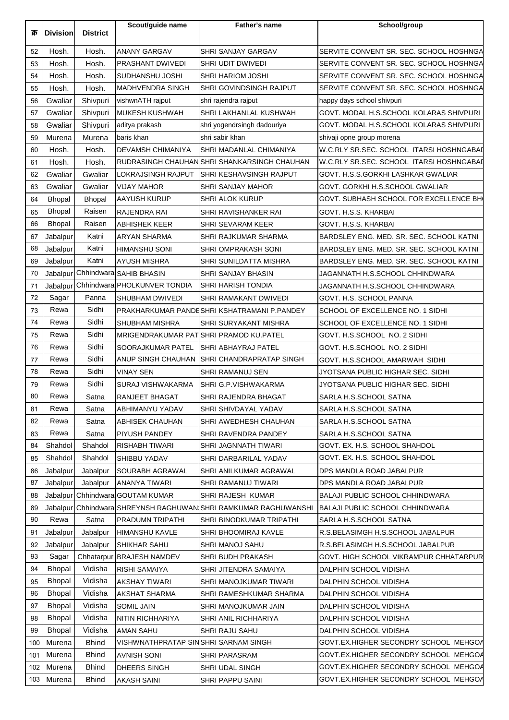| क्र | <b>Division</b> | <b>District</b> | Scout/guide name                      | Father's name                                                   | School/group                             |
|-----|-----------------|-----------------|---------------------------------------|-----------------------------------------------------------------|------------------------------------------|
|     |                 |                 |                                       |                                                                 |                                          |
| 52  | Hosh.           | Hosh.           | <b>ANANY GARGAV</b>                   | <b>SHRI SANJAY GARGAV</b>                                       | SERVITE CONVENT SR. SEC. SCHOOL HOSHNGA  |
| 53  | Hosh.           | Hosh.           | PRASHANT DWIVEDI                      | <b>SHRI UDIT DWIVEDI</b>                                        | SERVITE CONVENT SR. SEC. SCHOOL HOSHNGA  |
| 54  | Hosh.           | Hosh.           | SUDHANSHU JOSHI                       | <b>SHRI HARIOM JOSHI</b>                                        | SERVITE CONVENT SR. SEC. SCHOOL HOSHNGA  |
| 55  | Hosh.           | Hosh.           | <b>MADHVENDRA SINGH</b>               | SHRI GOVINDSINGH RAJPUT                                         | SERVITE CONVENT SR. SEC. SCHOOL HOSHNGA  |
| 56  | Gwaliar         | Shivpuri        | vishwnATH rajput                      | shri rajendra rajput                                            | happy days school shivpuri               |
| 57  | Gwaliar         | Shivpuri        | <b>IMUKESH KUSHWAH</b>                | SHRI LAKHANLAL KUSHWAH                                          | GOVT. MODAL H.S.SCHOOL KOLARAS SHIVPURI  |
| 58  | Gwaliar         | Shivpuri        | aditya prakash                        | shri yogendrsingh dadouriya                                     | GOVT. MODAL H.S.SCHOOL KOLARAS SHIVPURI  |
| 59  | Murena          | Murena          | baris khan                            | shri sabir khan                                                 | shivaji opne group morena                |
| 60  | Hosh.           | Hosh.           | DEVAMSH CHIMANIYA                     | SHRI MADANLAL CHIMANIYA                                         | W.C.RLY SR.SEC. SCHOOL ITARSI HOSHNGABAI |
| 61  | Hosh.           | Hosh.           |                                       | RUDRASINGH CHAUHAN SHRI SHANKARSINGH CHAUHAN                    | W.C.RLY SR.SEC. SCHOOL ITARSI HOSHNGABAI |
| 62  | Gwaliar         | Gwaliar         | LOKRAJSINGH RAJPUT                    | <b>SHRI KESHAVSINGH RAJPUT</b>                                  | GOVT. H.S.S.GORKHI LASHKAR GWALIAR       |
| 63  | Gwaliar         | Gwaliar         | VIJAY MAHOR                           | <b>SHRI SANJAY MAHOR</b>                                        | GOVT. GORKHI H.S.SCHOOL GWALIAR          |
| 64  | <b>Bhopal</b>   | <b>Bhopal</b>   | <b>AAYUSH KURUP</b>                   | <b>SHRI ALOK KURUP</b>                                          | GOVT. SUBHASH SCHOOL FOR EXCELLENCE BH(  |
| 65  | <b>Bhopal</b>   | Raisen          | RAJENDRA RAI                          | SHRI RAVISHANKER RAI                                            | GOVT. H.S.S. KHARBAI                     |
| 66  | <b>Bhopal</b>   | Raisen          | ABHISHEK KEER                         | <b>SHRI SEVARAM KEER</b>                                        | GOVT. H.S.S. KHARBAI                     |
| 67  | Jabalpur        | Katni           | <b>ARYAN SHARMA</b>                   | SHRI RAJKUMAR SHARMA                                            | BARDSLEY ENG. MED. SR. SEC. SCHOOL KATNI |
| 68  | Jabalpur        | Katni           | HIMANSHU SONI                         | <b>SHRI OMPRAKASH SONI</b>                                      | BARDSLEY ENG. MED. SR. SEC. SCHOOL KATNI |
| 69  | Jabalpur        | Katni           | AYUSH MISHRA                          | SHRI SUNILDATTA MISHRA                                          | BARDSLEY ENG. MED. SR. SEC. SCHOOL KATNI |
| 70  | Jabalpur        |                 | Chhindwara SAHIB BHASIN               | SHRI SANJAY BHASIN                                              | JAGANNATH H.S.SCHOOL CHHINDWARA          |
| 71  |                 |                 | Jabalpur Chhindwara PHOLKUNVER TONDIA | SHRI HARISH TONDIA                                              | JAGANNATH H.S.SCHOOL CHHINDWARA          |
| 72  | Sagar           | Panna           | SHUBHAM DWIVEDI                       | SHRI RAMAKANT DWIVEDI                                           | GOVT. H.S. SCHOOL PANNA                  |
| 73  | Rewa            | Sidhi           |                                       | PRAKHARKUMAR PANDESHRI KSHATRAMANI P.PANDEY                     | SCHOOL OF EXCELLENCE NO. 1 SIDHI         |
| 74  | Rewa            | Sidhi           | SHUBHAM MISHRA                        | SHRI SURYAKANT MISHRA                                           | SCHOOL OF EXCELLENCE NO. 1 SIDHI         |
| 75  | Rewa            | Sidhi           |                                       | MRIGENDRAKUMAR PAT SHRI PRAMOD KU.PATEL                         | GOVT. H.S.SCHOOL NO. 2 SIDHI             |
| 76  | Rewa            | Sidhi           | SOORAJKUMAR PATEL                     | SHRI ABHAYRAJ PATEL                                             | GOVT. H.S.SCHOOL NO. 2 SIDHI             |
| 77  | Rewa            | Sidhi           | ANUP SINGH CHAUHAN                    | <b>ISHRI CHANDRAPRATAP SINGH</b>                                | GOVT. H.S.SCHOOL AMARWAH SIDHI           |
| 78  | Rewa            | Sidhi           | VINAY SEN                             | SHRI RAMANUJ SEN                                                | JYOTSANA PUBLIC HIGHAR SEC. SIDHI        |
| 79  | Rewa            | Sidhi           | SURAJ VISHWAKARMA                     | SHRI G.P.VISHWAKARMA                                            | JYOTSANA PUBLIC HIGHAR SEC. SIDHI        |
| 80  | Rewa            | Satna           | RANJEET BHAGAT                        | SHRI RAJENDRA BHAGAT                                            | SARLA H.S.SCHOOL SATNA                   |
| 81  | Rewa            | Satna           | ABHIMANYU YADAV                       | SHRI SHIVDAYAL YADAV                                            | SARLA H.S.SCHOOL SATNA                   |
| 82  | Rewa            | Satna           | ABHISEK CHAUHAN                       | SHRI AWEDHESH CHAUHAN                                           | SARLA H.S.SCHOOL SATNA                   |
| 83  | Rewa            | Satna           | PIYUSH PANDEY                         | SHRI RAVENDRA PANDEY                                            | SARLA H.S.SCHOOL SATNA                   |
| 84  | Shahdol         | Shahdol         | <b>RISHABH TIWARI</b>                 | SHRI JAGNNATH TIWARI                                            | GOVT. EX. H.S. SCHOOL SHAHDOL            |
| 85  | Shahdol         | Shahdol         | SHIBBU YADAV                          | SHRI DARBARILAL YADAV                                           | GOVT. EX. H.S. SCHOOL SHAHDOL            |
| 86  | Jabalpur        | Jabalpur        | <b>SOURABH AGRAWAL</b>                | SHRI ANILKUMAR AGRAWAL                                          | DPS MANDLA ROAD JABALPUR                 |
| 87  | Jabalpur        | Jabalpur        | <b>ANANYA TIWARI</b>                  | SHRI RAMANUJ TIWARI                                             | DPS MANDLA ROAD JABALPUR                 |
| 88  |                 |                 | Jabalpur Chhindwara GOUTAM KUMAR      | SHRI RAJESH KUMAR                                               | BALAJI PUBLIC SCHOOL CHHINDWARA          |
| 89  |                 |                 |                                       | Jabalpur Chhindwara SHREYNSH RAGHUWAN SHRI RAMKUMAR RAGHUWANSHI | <b>BALAJI PUBLIC SCHOOL CHHINDWARA</b>   |
| 90  | Rewa            | Satna           | PRADUMN TRIPATHI                      | SHRI BINODKUMAR TRIPATHI                                        | SARLA H.S.SCHOOL SATNA                   |
| 91  | Jabalpur        | Jabalpur        | <b>HIMANSHU KAVLE</b>                 | <b>SHRI BHOOMIRAJ KAVLE</b>                                     | R.S.BELASIMGH H.S.SCHOOL JABALPUR        |
| 92  | Jabalpur        | Jabalpur        | SHIKHAR SAHU                          | SHRI MANOJ SAHU                                                 | R.S.BELASIMGH H.S.SCHOOL JABALPUR        |
| 93  | Sagar           |                 | Chhatarpur BRAJESH NAMDEV             | SHRI BUDH PRAKASH                                               | GOVT. HIGH SCHOOL VIKRAMPUR CHHATARPUR   |
| 94  | Bhopal          | Vidisha         | <b>RISHI SAMAIYA</b>                  | SHRI JITENDRA SAMAIYA                                           | DALPHIN SCHOOL VIDISHA                   |
| 95  | Bhopal          | Vidisha         | AKSHAY TIWARI                         | SHRI MANOJKUMAR TIWARI                                          | DALPHIN SCHOOL VIDISHA                   |
| 96  | Bhopal          | Vidisha         | <b>AKSHAT SHARMA</b>                  | SHRI RAMESHKUMAR SHARMA                                         | DALPHIN SCHOOL VIDISHA                   |
| 97  | Bhopal          | Vidisha         | <b>SOMIL JAIN</b>                     | SHRI MANOJKUMAR JAIN                                            | DALPHIN SCHOOL VIDISHA                   |
| 98  | Bhopal          | Vidisha         | NITIN RICHHARIYA                      | SHRI ANIL RICHHARIYA                                            | DALPHIN SCHOOL VIDISHA                   |
| 99  | Bhopal          | Vidisha         | <b>AMAN SAHU</b>                      | <b>SHRI RAJU SAHU</b>                                           | DALPHIN SCHOOL VIDISHA                   |
| 100 | Murena          | <b>Bhind</b>    | VISHWNATHPRATAP SINSHRI SARNAM SINGH  |                                                                 | GOVT.EX.HIGHER SECONDRY SCHOOL MEHGOA    |
| 101 | Murena          | <b>Bhind</b>    | <b>AVNISH SONI</b>                    | <b>SHRI PARASRAM</b>                                            | GOVT.EX.HIGHER SECONDRY SCHOOL MEHGOA    |
| 102 | Murena          | <b>Bhind</b>    | DHEERS SINGH                          | SHRI UDAL SINGH                                                 | GOVT.EX.HIGHER SECONDRY SCHOOL MEHGOA    |
| 103 | Murena          | Bhind           | <b>AKASH SAINI</b>                    |                                                                 | GOVT.EX.HIGHER SECONDRY SCHOOL MEHGOA    |
|     |                 |                 |                                       | <b>SHRI PAPPU SAINI</b>                                         |                                          |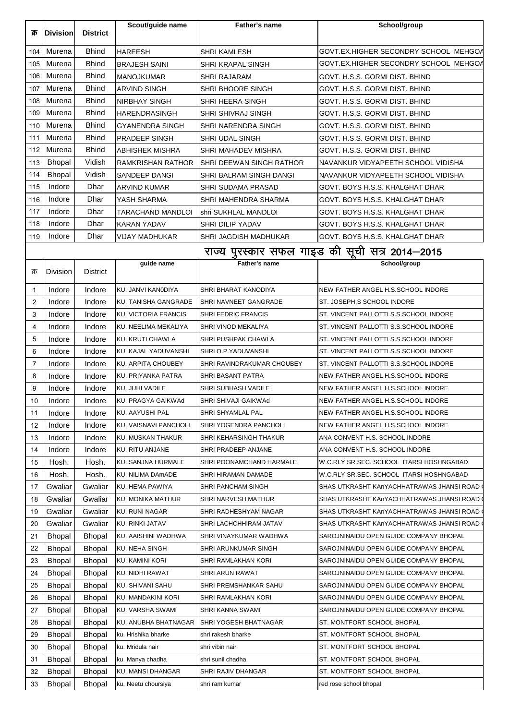| क्र         | <b>Division</b>                | <b>District</b>                | Scout/guide name             | Father's name                        | School/group                                   |
|-------------|--------------------------------|--------------------------------|------------------------------|--------------------------------------|------------------------------------------------|
|             |                                |                                |                              |                                      |                                                |
| 104         | Murena                         | <b>Bhind</b>                   | <b>HAREESH</b>               | <b>SHRI KAMLESH</b>                  | GOVT.EX.HIGHER SECONDRY SCHOOL MEHGOA          |
| 105         | Murena                         | <b>Bhind</b>                   | <b>BRAJESH SAINI</b>         | <b>SHRI KRAPAL SINGH</b>             | GOVT.EX.HIGHER SECONDRY SCHOOL MEHGOA          |
| 106         | Murena                         | <b>Bhind</b>                   | <b>MANOJKUMAR</b>            | <b>SHRI RAJARAM</b>                  | GOVT. H.S.S. GORMI DIST. BHIND                 |
| 107         | Murena                         | <b>Bhind</b>                   | <b>ARVIND SINGH</b>          | SHRI BHOORE SINGH                    | GOVT. H.S.S. GORMI DIST. BHIND                 |
| 108         | Murena                         | <b>Bhind</b>                   | NIRBHAY SINGH                | SHRI HEERA SINGH                     | GOVT. H.S.S. GORMI DIST. BHIND                 |
| 109         | Murena                         | <b>Bhind</b>                   | <b>HARENDRASINGH</b>         | <b>SHRI SHIVRAJ SINGH</b>            | GOVT. H.S.S. GORMI DIST. BHIND                 |
| 110         | Murena                         | <b>Bhind</b>                   | <b>GYANENDRA SINGH</b>       | SHRI NARENDRA SINGH                  | GOVT. H.S.S. GORMI DIST. BHIND                 |
| 111         | Murena                         | <b>Bhind</b>                   | <b>PRADEEP SINGH</b>         | <b>SHRI UDAL SINGH</b>               | GOVT. H.S.S. GORMI DIST. BHIND                 |
| 112         | Murena                         | <b>Bhind</b>                   | <b>ABHISHEK MISHRA</b>       | SHRI MAHADEV MISHRA                  | GOVT. H.S.S. GORMI DIST. BHIND                 |
| 113         | <b>Bhopal</b>                  | Vidish                         | RAMKRISHAN RATHOR            | <b>SHRI DEEWAN SINGH RATHOR</b>      | NAVANKUR VIDYAPEETH SCHOOL VIDISHA             |
| 114         | Bhopal                         | Vidish                         | SANDEEP DANGI                | SHRI BALRAM SINGH DANGI              | NAVANKUR VIDYAPEETH SCHOOL VIDISHA             |
| 115         | Indore                         | Dhar                           | <b>ARVIND KUMAR</b>          | SHRI SUDAMA PRASAD                   | GOVT. BOYS H.S.S. KHALGHAT DHAR                |
| 116         | Indore                         | Dhar                           | YASH SHARMA                  | SHRI MAHENDRA SHARMA                 | GOVT. BOYS H.S.S. KHALGHAT DHAR                |
| 117         | Indore                         | Dhar                           | TARACHAND MANDLOI            | shri SUKHLAL MANDLOI                 | GOVT. BOYS H.S.S. KHALGHAT DHAR                |
| 118         | Indore                         | Dhar                           | KARAN YADAV                  | <b>SHRI DILIP YADAV</b>              | GOVT. BOYS H.S.S. KHALGHAT DHAR                |
| 119         | Indore                         | Dhar                           | VIJAY MADHUKAR               | SHRI JAGDISH MADHUKAR                | GOVT. BOYS H.S.S. KHALGHAT DHAR                |
|             |                                |                                |                              |                                      | राज्य पुरस्कार सफल गाइड की सूची सत्र 2014–2015 |
|             |                                |                                | guide name                   | Father's name                        | School/group                                   |
| क्र         | <b>Division</b>                | District                       |                              |                                      |                                                |
| $\mathbf 1$ | Indore                         | Indore                         | KU. JANVI KANODIYA           | SHRI BHARAT KANODIYA                 | NEW FATHER ANGEL H.S.SCHOOL INDORE             |
| 2           | Indore                         | Indore                         | <b>KU. TANISHA GANGRADE</b>  | SHRI NAVNEET GANGRADE                | ST. JOSEPH,S SCHOOL INDORE                     |
| 3           | Indore                         | Indore                         | <b>KU. VICTORIA FRANCIS</b>  | SHRI FEDRIC FRANCIS                  | ST. VINCENT PALLOTTI S.S. SCHOOL INDORE        |
| 4           | Indore                         | Indore                         | KU. NEELIMA MEKALIYA         | SHRI VINOD MEKALIYA                  | ST. VINCENT PALLOTTI S.S. SCHOOL INDORE        |
| 5           | Indore                         | Indore                         | KU. KRUTI CHAWLA             | SHRI PUSHPAK CHAWLA                  | ST. VINCENT PALLOTTI S.S.SCHOOL INDORE         |
| 6           | Indore                         | Indore                         | KU. KAJAL YADUVANSHI         | SHRI O.P. YADUVANSHI                 | ST. VINCENT PALLOTTI S.S.SCHOOL INDORE         |
| 7           | Indore                         | Indore                         | KU. ARPITA CHOUBEY           | SHRI RAVINDRAKUMAR CHOUBEY           | ST. VINCENT PALLOTTI S.S.SCHOOL INDORE         |
| 8           | Indore                         | Indore                         | <b>KU. PRIYANKA PATRA</b>    | <b>SHRI BASANT PATRA</b>             | NEW FATHER ANGEL H.S. SCHOOL INDORE            |
| 9           | Indore                         | Indore                         | KU. JUHI VADILE              | <b>SHRI SUBHASH VADILE</b>           | NEW FATHER ANGEL H.S.SCHOOL INDORE             |
| 10          | Indore                         | Indore                         | KU. PRAGYA GAIKWAd           | SHRI SHIVAJI GAIKWAd                 | NEW FATHER ANGEL H.S.SCHOOL INDORE             |
| 11          | Indore                         | Indore                         | KU. AAYUSHI PAL              | SHRI SHYAMLAL PAL                    | NEW FATHER ANGEL H.S.SCHOOL INDORE             |
| 12          | Indore                         | Indore                         | <b>KU. VAISNAVI PANCHOLI</b> | SHRI YOGENDRA PANCHOLI               | NEW FATHER ANGEL H.S.SCHOOL INDORE             |
| 13          | Indore                         | Indore                         | KU. MUSKAN THAKUR            | SHRI KEHARSINGH THAKUR               | ANA CONVENT H.S. SCHOOL INDORE                 |
| 14          | Indore                         | Indore                         | KU. RITU ANJANE              | SHRI PRADEEP ANJANE                  | ANA CONVENT H.S. SCHOOL INDORE                 |
| 15          | Hosh.                          | Hosh.                          | KU. SANJNA HURMALE           | SHRI POONAMCHAND HARMALE             | W.C.RLY SR.SEC. SCHOOL ITARSI HOSHNGABAD       |
| 16          | Hosh.                          | Hosh.                          | KU. NILIMA DAmADE            | SHRI HIRAMAN DAMADE                  | W.C.RLY SR.SEC. SCHOOL ITARSI HOSHNGABAD       |
| 17          | Gwaliar                        | Gwaliar                        | <b>KU. HEMA PAWIYA</b>       | SHRI PANCHAM SINGH                   | SHAS UTKRASHT KAnYACHHATRAWAS JHANSI ROAD (    |
| 18          | Gwaliar                        | Gwaliar                        | KU. MONIKA MATHUR            | SHRI NARVESH MATHUR                  | SHAS UTKRASHT KAnYACHHATRAWAS JHANSI ROAD (    |
| 19          | Gwaliar                        | Gwaliar                        | KU. RUNI NAGAR               | SHRI RADHESHYAM NAGAR                | SHAS UTKRASHT KAnYACHHATRAWAS JHANSI ROAD      |
| 20          | Gwaliar                        | Gwaliar                        | <b>KU. RINKI JATAV</b>       | SHRI LACHCHHIRAM JATAV               | SHAS UTKRASHT KANYACHHATRAWAS JHANSI ROAD (    |
| 21          | <b>Bhopal</b>                  | Bhopal                         | KU. AAISHINI WADHWA          | SHRI VINAYKUMAR WADHWA               | SAROJNINAIDU OPEN GUIDE COMPANY BHOPAL         |
| 22          | <b>Bhopal</b>                  | Bhopal                         | KU. NEHA SINGH               | SHRI ARUNKUMAR SINGH                 | SAROJNINAIDU OPEN GUIDE COMPANY BHOPAL         |
| 23          | Bhopal                         | <b>Bhopal</b>                  | KU. KAMINI KORI              | SHRI RAMLAKHAN KORI                  | SAROJNINAIDU OPEN GUIDE COMPANY BHOPAL         |
| 24          | <b>Bhopal</b>                  | <b>Bhopal</b>                  | KU. NIDHI RAWAT              | SHRI ARUN RAWAT                      | SAROJNINAIDU OPEN GUIDE COMPANY BHOPAL         |
| 25          | <b>Bhopal</b>                  | <b>Bhopal</b>                  | KU. SHIVANI SAHU             | SHRI PREMSHANKAR SAHU                | SAROJNINAIDU OPEN GUIDE COMPANY BHOPAL         |
| 26          | <b>Bhopal</b>                  | <b>Bhopal</b>                  | KU. MANDAKINI KORI           | SHRI RAMLAKHAN KORI                  | SAROJNINAIDU OPEN GUIDE COMPANY BHOPAL         |
| 27          | <b>Bhopal</b>                  | <b>Bhopal</b>                  | KU. VARSHA SWAMI             | SHRI KANNA SWAMI                     | SAROJNINAIDU OPEN GUIDE COMPANY BHOPAL         |
| 28          |                                |                                | KU. ANUBHA BHATNAGAR         | SHRI YOGESH BHATNAGAR                | ST. MONTFORT SCHOOL BHOPAL                     |
| 29          | <b>Bhopal</b><br><b>Bhopal</b> | <b>Bhopal</b>                  | ku. Hrishika bharke          | shri rakesh bharke                   | ST. MONTFORT SCHOOL BHOPAL                     |
| 30          |                                | <b>Bhopal</b>                  | ku. Mridula nair             |                                      | ST. MONTFORT SCHOOL BHOPAL                     |
|             | <b>Bhopal</b>                  | <b>Bhopal</b><br><b>Bhopal</b> | ku. Manya chadha             | shri vibin nair<br>shri sunil chadha | ST. MONTFORT SCHOOL BHOPAL                     |
| 31          | <b>Bhopal</b>                  |                                |                              |                                      |                                                |
| 32          | <b>Bhopal</b>                  | <b>Bhopal</b>                  | KU. MANSI DHANGAR            | SHRI RAJIV DHANGAR                   | ST. MONTFORT SCHOOL BHOPAL                     |
| 33          | <b>Bhopal</b>                  | <b>Bhopal</b>                  | ku. Neetu choursiya          | shri ram kumar                       | red rose school bhopal                         |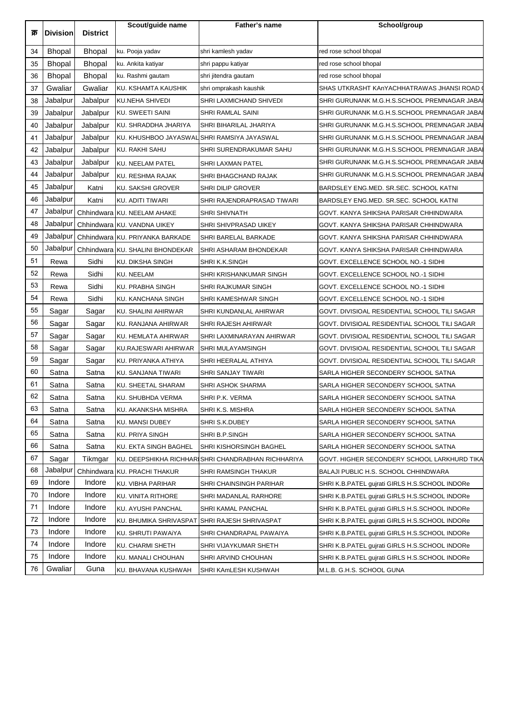| क्र | <b>Division</b> | <b>District</b> | Scout/guide name                            | Father's name                                      | School/group                                   |
|-----|-----------------|-----------------|---------------------------------------------|----------------------------------------------------|------------------------------------------------|
|     |                 |                 |                                             |                                                    |                                                |
| 34  | <b>Bhopal</b>   | <b>Bhopal</b>   | ku. Pooja yadav                             | shri kamlesh yadav                                 | red rose school bhopal                         |
| 35  | <b>Bhopal</b>   | <b>Bhopal</b>   | ku. Ankita katiyar                          | shri pappu katiyar                                 | red rose school bhopal                         |
| 36  | <b>Bhopal</b>   | <b>Bhopal</b>   | ku. Rashmi gautam                           | shri jitendra gautam                               | red rose school bhopal                         |
| 37  | Gwaliar         | Gwaliar         | KU. KSHAMTA KAUSHIK                         | shri omprakash kaushik                             | SHAS UTKRASHT KAnYACHHATRAWAS JHANSI ROAD      |
| 38  | Jabalpur        | Jabalpur        | KU.NEHA SHIVEDI                             | SHRI LAXMICHAND SHIVEDI                            | SHRI GURUNANK M.G.H.S.SCHOOL PREMNAGAR JABA    |
| 39  | Jabalpur        | Jabalpur        | KU. SWEETI SAINI                            | SHRI RAMLAL SAINI                                  | SHRI GURUNANK M.G.H.S.SCHOOL PREMNAGAR JABAI   |
| 40  | Jabalpur        | Jabalpur        | KU. SHRADDHA JHARIYA                        | SHRI BIHARILAL JHARIYA                             | SHRI GURUNANK M.G.H.S.SCHOOL PREMNAGAR JABA    |
| 41  | Jabalpur        | Jabalpur        | KU. KHUSHBOO JAYASWAL SHRI RAMSIYA JAYASWAL |                                                    | SHRI GURUNANK M.G.H.S.SCHOOL PREMNAGAR JABAI   |
| 42  | Jabalpur        | Jabalpur        | KU. RAKHI SAHU                              | SHRI SURENDRAKUMAR SAHU                            | SHRI GURUNANK M.G.H.S.SCHOOL PREMNAGAR JABAI   |
| 43  | Jabalpur        | Jabalpur        | <b>KU. NEELAM PATEL</b>                     | SHRI LAXMAN PATEL                                  | SHRI GURUNANK M.G.H.S.SCHOOL PREMNAGAR JABAI   |
| 44  | Jabalpur        | Jabalpur        | <b>KU. RESHMA RAJAK</b>                     | SHRI BHAGCHAND RAJAK                               | SHRI GURUNANK M.G.H.S.SCHOOL PREMNAGAR JABAI   |
| 45  | Jabalpur        | Katni           | <b>KU. SAKSHI GROVER</b>                    | <b>SHRI DILIP GROVER</b>                           | BARDSLEY ENG.MED. SR.SEC. SCHOOL KATNI         |
| 46  | Jabalpur        | Katni           | KU. ADITI TIWARI                            | SHRI RAJENDRAPRASAD TIWARI                         | BARDSLEY ENG.MED. SR.SEC. SCHOOL KATNI         |
| 47  | Jabalpur        |                 | Chhindwara KU. NEELAM AHAKE                 | SHRI SHIVNATH                                      | GOVT. KANYA SHIKSHA PARISAR CHHINDWARA         |
| 48  | Jabalpur        |                 | Chhindwara KU. VANDNA UIKEY                 | SHRI SHIVPRASAD UIKEY                              | GOVT. KANYA SHIKSHA PARISAR CHHINDWARA         |
| 49  | Jabalpur        |                 | Chhindwara KU. PRIYANKA BARKADE             | SHRI BARELAL BARKADE                               | GOVT. KANYA SHIKSHA PARISAR CHHINDWARA         |
| 50  | Jabalpur        |                 | Chhindwara KU. SHALINI BHONDEKAR            | SHRI ASHARAM BHONDEKAR                             | GOVT. KANYA SHIKSHA PARISAR CHHINDWARA         |
| 51  | Rewa            | Sidhi           | <b>KU. DIKSHA SINGH</b>                     | SHRI K.K.SINGH                                     | GOVT. EXCELLENCE SCHOOL NO.-1 SIDHI            |
| 52  | Rewa            | Sidhi           | <b>KU. NEELAM</b>                           | SHRI KRISHANKUMAR SINGH                            | GOVT. EXCELLENCE SCHOOL NO.-1 SIDHI            |
| 53  | Rewa            | Sidhi           | KU. PRABHA SINGH                            | SHRI RAJKUMAR SINGH                                | GOVT. EXCELLENCE SCHOOL NO.-1 SIDHI            |
| 54  | Rewa            | Sidhi           | KU. KANCHANA SINGH                          | SHRI KAMESHWAR SINGH                               | GOVT. EXCELLENCE SCHOOL NO.-1 SIDHI            |
| 55  | Sagar           | Sagar           | KU. SHALINI AHIRWAR                         | SHRI KUNDANLAL AHIRWAR                             | GOVT. DIVISIOAL RESIDENTIAL SCHOOL TILI SAGAR  |
| 56  | Sagar           | Sagar           | KU. RANJANA AHIRWAR                         | SHRI RAJESH AHIRWAR                                | GOVT. DIVISIOAL RESIDENTIAL SCHOOL TILI SAGAR  |
| 57  | Sagar           | Sagar           | KU. HEMLATA AHIRWAR                         | SHRI LAXMINARAYAN AHIRWAR                          | GOVT. DIVISIOAL RESIDENTIAL SCHOOL TILI SAGAR  |
| 58  | Sagar           | Sagar           | KU.RAJESWARI AHIRWAR                        | SHRI MULAYAMSINGH                                  | GOVT. DIVISIOAL RESIDENTIAL SCHOOL TILI SAGAR  |
| 59  | Sagar           | Sagar           | KU. PRIYANKA ATHIYA                         | SHRI HEERALAL ATHIYA                               | GOVT. DIVISIOAL RESIDENTIAL SCHOOL TILI SAGAR  |
| 60  | Satna           | Satna           | KU. SANJANA TIWARI                          | SHRI SANJAY TIWARI                                 | SARLA HIGHER SECONDERY SCHOOL SATNA            |
| 61  | Satna           | Satna           | KU. SHEETAL SHARAM                          | SHRI ASHOK SHARMA                                  | SARLA HIGHER SECONDERY SCHOOL SATNA            |
| 62  | Satna           | Satna           | <b>KU. SHUBHDA VERMA</b>                    | SHRI P.K. VERMA                                    | SARLA HIGHER SECONDERY SCHOOL SATNA            |
| 63  | Satna           | Satna           | KU. AKANKSHA MISHRA                         | SHRI K.S. MISHRA                                   | SARLA HIGHER SECONDERY SCHOOL SATNA            |
| 64  | Satna           | Satna           | <b>KU. MANSI DUBEY</b>                      | SHRI S.K.DUBEY                                     | SARLA HIGHER SECONDERY SCHOOL SATNA            |
| 65  | Satna           | Satna           | KU. PRIYA SINGH                             | SHRI B.P.SINGH                                     | SARLA HIGHER SECONDERY SCHOOL SATNA            |
| 66  | Satna           | Satna           | KU. EKTA SINGH BAGHEL                       | SHRI KISHORSINGH BAGHEL                            | SARLA HIGHER SECONDERY SCHOOL SATNA            |
| 67  | Sagar           | Tikmgar         |                                             | KU. DEEPSHIKHA RICHHARISHRI CHANDRABHAN RICHHARIYA | GOVT. HIGHER SECONDERY SCHOOL LARKHURD TIKA    |
| 68  | Jabalpur        |                 | Chhindwara KU. PRACHI THAKUR                | SHRI RAMSINGH THAKUR                               | BALAJI PUBLIC H.S. SCHOOL CHHINDWARA           |
| 69  | Indore          | Indore          | KU. VIBHA PARIHAR                           | SHRI CHAINSINGH PARIHAR                            | SHRI K.B.PATEL gujrati GIRLS H.S.SCHOOL INDORe |
| 70  | Indore          | Indore          | KU. VINITA RITHORE                          | SHRI MADANLAL RARHORE                              | SHRI K.B.PATEL gujrati GIRLS H.S.SCHOOL INDORe |
| 71  | Indore          | Indore          | KU. AYUSHI PANCHAL                          | SHRI KAMAL PANCHAL                                 | SHRI K.B.PATEL gujrati GIRLS H.S.SCHOOL INDORe |
| 72  | Indore          | Indore          |                                             | KU. BHUMIKA SHRIVASPAT SHHI RAJESH SHRIVASPAT      | SHRI K.B.PATEL gujrati GIRLS H.S.SCHOOL INDORe |
| 73  | Indore          | Indore          | KU. SHRUTI PAWAIYA                          | SHRI CHANDRAPAL PAWAIYA                            | SHRI K.B.PATEL gujrati GIRLS H.S.SCHOOL INDORe |
| 74  | Indore          | Indore          | <b>KU. CHARMI SHETH</b>                     |                                                    | SHRI K.B.PATEL gujrati GIRLS H.S.SCHOOL INDORe |
| 75  | Indore          | Indore          |                                             | SHRI VIJAYKUMAR SHETH                              |                                                |
| 76  | Gwaliar         | Guna            | KU. MANALI CHOUHAN                          | SHRI ARVIND CHOUHAN                                | SHRI K.B.PATEL gujrati GIRLS H.S.SCHOOL INDORe |
|     |                 |                 | KU. BHAVANA KUSHWAH                         | SHRI KAmLESH KUSHWAH                               | M.L.B. G.H.S. SCHOOL GUNA                      |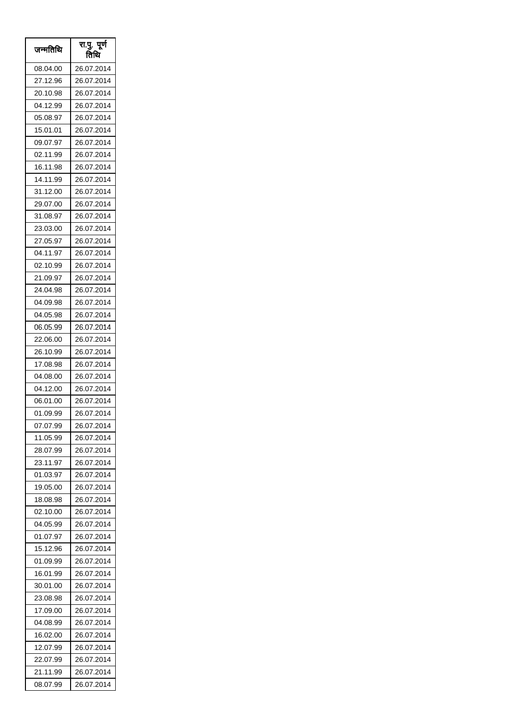| जन्मतिथि | रा.पु. पूर्ण<br>तिथि |
|----------|----------------------|
| 08.04.00 | 26.07.2014           |
| 27.12.96 | 26.07.2014           |
| 20.10.98 | 26.07.2014           |
| 04.12.99 | 26.07.2014           |
| 05.08.97 | 26.07.2014           |
| 15.01.01 | 26.07.2014           |
| 09.07.97 | 26.07.2014           |
| 02.11.99 | 26.07.2014           |
| 16.11.98 | 26.07.2014           |
| 14.11.99 | 26.07.2014           |
| 31.12.00 | 26.07.2014           |
| 29.07.00 | 26.07.2014           |
| 31.08.97 | 26.07.2014           |
| 23.03.00 | 26.07.2014           |
| 27.05.97 | 26.07.2014           |
| 04.11.97 | 26.07.2014           |
| 02.10.99 | 26.07.2014           |
| 21.09.97 | 26.07.2014           |
| 24.04.98 | 26.07.2014           |
| 04.09.98 | 26.07.2014           |
| 04.05.98 | 26.07.2014           |
| 06.05.99 | 26.07.2014           |
| 22.06.00 | 26.07.2014           |
| 26.10.99 | 26.07.2014           |
| 17.08.98 | 26.07.2014           |
| 04.08.00 | 26.07.2014           |
| 04.12.00 | 26.07.2014           |
| 06.01.00 | 26.07.2014           |
| 01.09.99 | 26.07.2014           |
| 07.07.99 | 26.07.2014           |
| 11.05.99 | 26.07.2014           |
| 28.07.99 | 26.07.2014           |
| 23.11.97 | 26.07.2014           |
| 01.03.97 | 26.07.2014           |
| 19.05.00 | 26.07.2014           |
| 18.08.98 | 26.07.2014           |
| 02.10.00 | 26.07.2014           |
| 04.05.99 | 26.07.2014           |
| 01.07.97 | 26.07.2014           |
| 15.12.96 | 26.07.2014           |
| 01.09.99 | 26.07.2014           |
| 16.01.99 | 26.07.2014           |
| 30.01.00 | 26.07.2014           |
| 23.08.98 | 26.07.2014           |
| 17.09.00 | 26.07.2014           |
| 04.08.99 | 26.07.2014           |
| 16.02.00 | 26.07.2014           |
| 12.07.99 | 26.07.2014           |
| 22.07.99 | 26.07.2014           |
| 21.11.99 | 26.07.2014           |
| 08.07.99 | 26.07.2014           |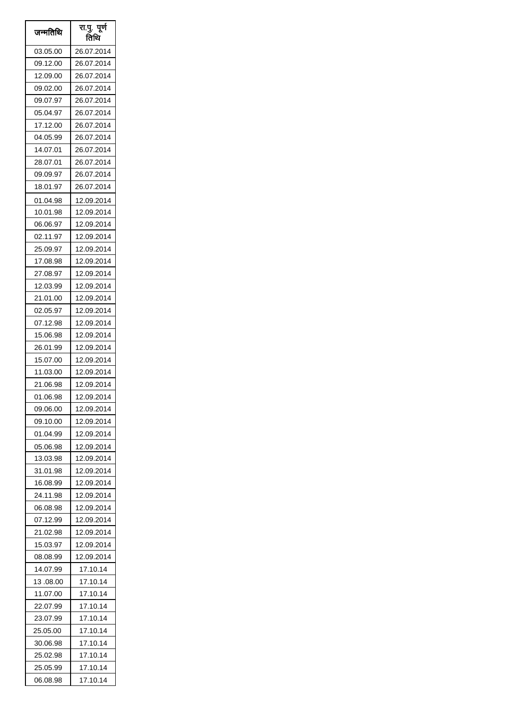| जन्मतिथि  | रा.पु. पूर्ण<br>तिथि |
|-----------|----------------------|
| 03.05.00  | 26.07.2014           |
| 09.12.00  | 26.07.2014           |
| 12.09.00  | 26.07.2014           |
| 09.02.00  | 26.07.2014           |
| 09.07.97  | 26.07.2014           |
| 05.04.97  | 26.07.2014           |
| 17.12.00  | 26.07.2014           |
| 04.05.99  | 26.07.2014           |
| 14.07.01  | 26.07.2014           |
| 28.07.01  | 26.07.2014           |
| 09.09.97  | 26.07.2014           |
| 18.01.97  | 26.07.2014           |
| 01.04.98  | 12.09.2014           |
| 10.01.98  | 12.09.2014           |
| 06.06.97  | 12.09.2014           |
| 02.11.97  | 12.09.2014           |
| 25.09.97  | 12.09.2014           |
| 17.08.98  | 12.09.2014           |
| 27.08.97  | 12.09.2014           |
| 12.03.99  | 12.09.2014           |
| 21.01.00  | 12.09.2014           |
| 02.05.97  | 12.09.2014           |
| 07.12.98  | 12.09.2014           |
| 15.06.98  | 12.09.2014           |
| 26.01.99  | 12.09.2014           |
| 15.07.00  | 12.09.2014           |
| 11.03.00  | 12.09.2014           |
| 21.06.98  | 12.09.2014           |
| 01.06.98  | 12.09.2014           |
| 09.06.00  | 12.09.2014           |
| 09.10.00  | 12.09.2014           |
| 01.04.99  | 12.09.2014           |
| 05.06.98  | 12.09.2014           |
| 13.03.98  | 12.09.2014           |
| 31.01.98  | 12.09.2014           |
| 16.08.99  | 12.09.2014           |
| 24.11.98  | 12.09.2014           |
| 06.08.98  | 12.09.2014           |
| 07.12.99  | 12.09.2014           |
| 21.02.98  | 12.09.2014           |
| 15.03.97  | 12.09.2014           |
| 08.08.99  | 12.09.2014           |
| 14.07.99  | 17.10.14             |
| 13 .08.00 | 17.10.14             |
| 11.07.00  | 17.10.14             |
| 22.07.99  | 17.10.14             |
| 23.07.99  | 17.10.14             |
| 25.05.00  | 17.10.14             |
| 30.06.98  | 17.10.14             |
| 25.02.98  | 17.10.14             |
| 25.05.99  | 17.10.14             |
| 06.08.98  | 17.10.14             |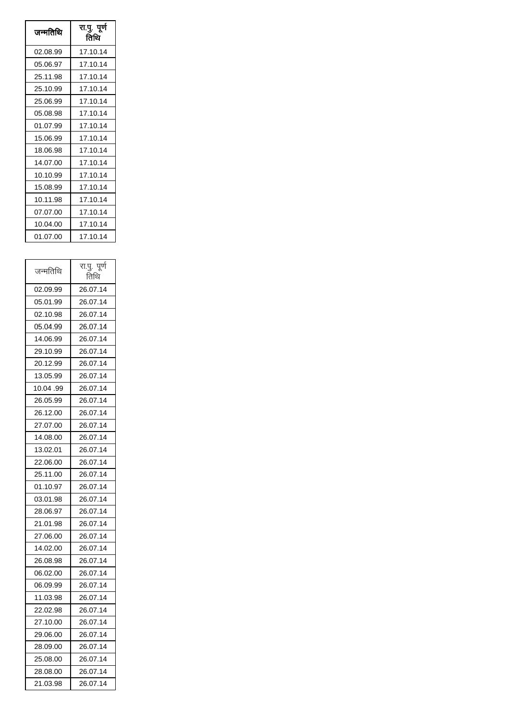| जन्मतिथि | रा.पु. पूर्ण<br>तिथि |
|----------|----------------------|
| 02.08.99 | 17.10.14             |
| 05.06.97 | 17.10.14             |
| 25.11.98 | 17.10.14             |
| 25.10.99 | 17.10.14             |
| 25.06.99 | 17.10.14             |
| 05.08.98 | 17.10.14             |
| 01.07.99 | 17.10.14             |
| 15.06.99 | 17.10.14             |
| 18.06.98 | 17.10.14             |
| 14.07.00 | 17.10.14             |
| 10.10.99 | 17.10.14             |
| 15.08.99 | 17.10.14             |
| 10.11.98 | 17.10.14             |
| 07.07.00 | 17.10.14             |
| 10.04.00 | 17.10.14             |
| 01.07.00 | 17.10.14             |

| रा.पू. पूर्ण<br>तिथि |
|----------------------|
| 26.07.14             |
| 26.07.14             |
| 26.07.14             |
| 26.07.14             |
| 26.07.14             |
| 26.07.14             |
| 26.07.14             |
| 26.07.14             |
| 26.07.14             |
| 26.07.14             |
| 26.07.14             |
| 26.07.14             |
| 26.07.14             |
| 26.07.14             |
| 26.07.14             |
| 26.07.14             |
| 26.07.14             |
| 26.07.14             |
| 26.07.14             |
| 26.07.14             |
| 26.07.14             |
| 26.07.14             |
| 26.07.14             |
| 26.07.14             |
| 26.07.14             |
| 26.07.14             |
| 26.07.14             |
| 26.07.14             |
| 26.07.14             |
| 26.07.14             |
| 26.07.14             |
| 26.07.14             |
| 26.07.14             |
|                      |